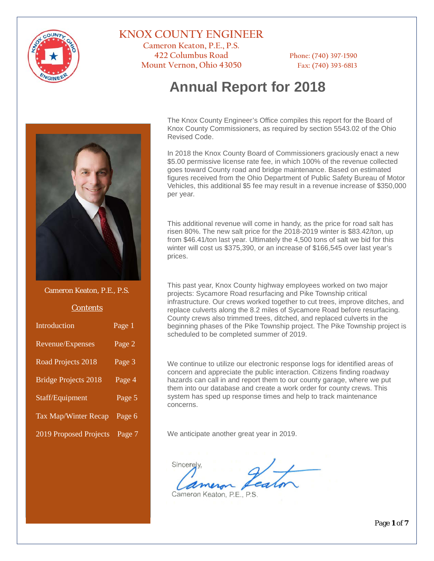

### **KNOX COUNTY ENGINEER**

**Cameron Keaton, P.E., P.S. 422 Columbus Road Phone: (740) 397-1590 Mount Vernon, Ohio 43050 Fax: (740) 393-6813**

# **Annual Report for 2018**

The Knox County Engineer's Office compiles this report for the Board of Knox County Commissioners, as required by section 5543.02 of the Ohio Revised Code.

In 2018 the Knox County Board of Commissioners graciously enact a new \$5.00 permissive license rate fee, in which 100% of the revenue collected goes toward County road and bridge maintenance. Based on estimated figures received from the Ohio Department of Public Safety Bureau of Motor Vehicles, this additional \$5 fee may result in a revenue increase of \$350,000 per year.

This additional revenue will come in handy, as the price for road salt has risen 80%. The new salt price for the 2018-2019 winter is \$83.42/ton, up from \$46.41/ton last year. Ultimately the 4,500 tons of salt we bid for this winter will cost us \$375,390, or an increase of \$166,545 over last year's prices.

This past year, Knox County highway employees worked on two major projects: Sycamore Road resurfacing and Pike Township critical infrastructure. Our crews worked together to cut trees, improve ditches, and replace culverts along the 8.2 miles of Sycamore Road before resurfacing. County crews also trimmed trees, ditched, and replaced culverts in the beginning phases of the Pike Township project. The Pike Township project is scheduled to be completed summer of 2019.

We continue to utilize our electronic response logs for identified areas of concern and appreciate the public interaction. Citizens finding roadway hazards can call in and report them to our county garage, where we put them into our database and create a work order for county crews. This system has sped up response times and help to track maintenance concerns.

We anticipate another great year in 2019.

Sincerely

Cameron Keaton, P.E., P.S.

Page **1** of **7**



Cameron Keaton, P.E., P.S.

#### **Contents**

| Introduction                | Page 1              |
|-----------------------------|---------------------|
| Revenue/Expenses            | Page 2              |
| Road Projects 2018          | Page 3              |
| <b>Bridge Projects 2018</b> | Page $\overline{4}$ |
| Staff/Equipment             | Page 5              |
| <b>Tax Map/Winter Recap</b> | Page 6              |
| 2019 Proposed Projects      | Page 7              |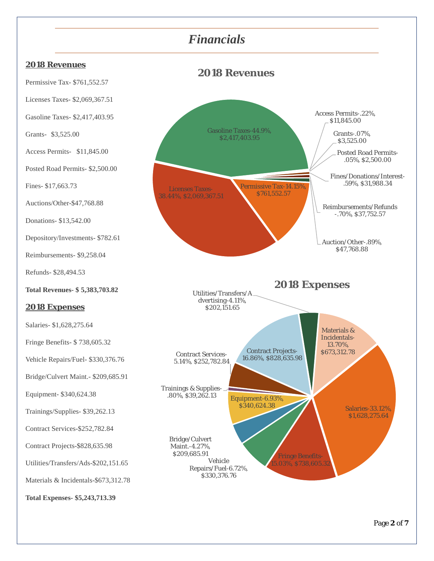## *Financials*

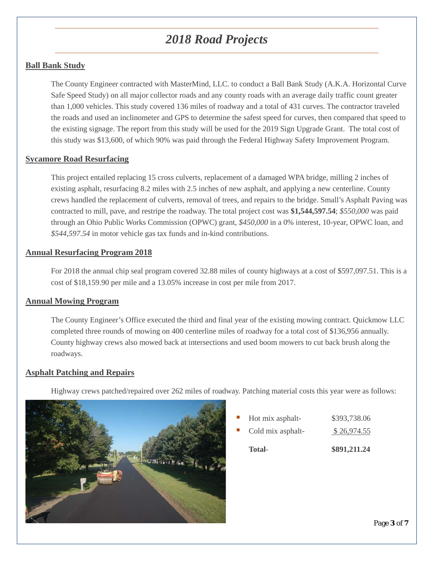# *2018 Road Projects*

### **Ball Bank Study**

The County Engineer contracted with MasterMind, LLC. to conduct a Ball Bank Study (A.K.A. Horizontal Curve Safe Speed Study) on all major collector roads and any county roads with an average daily traffic count greater than 1,000 vehicles. This study covered 136 miles of roadway and a total of 431 curves. The contractor traveled the roads and used an inclinometer and GPS to determine the safest speed for curves, then compared that speed to the existing signage. The report from this study will be used for the 2019 Sign Upgrade Grant. The total cost of this study was \$13,600, of which 90% was paid through the Federal Highway Safety Improvement Program.

#### **Sycamore Road Resurfacing**

This project entailed replacing 15 cross culverts, replacement of a damaged WPA bridge, milling 2 inches of existing asphalt, resurfacing 8.2 miles with 2.5 inches of new asphalt, and applying a new centerline. County crews handled the replacement of culverts, removal of trees, and repairs to the bridge. Small's Asphalt Paving was contracted to mill, pave, and restripe the roadway. The total project cost was **\$1,544,597.54**; *\$550,000* was paid through an Ohio Public Works Commission (OPWC) grant, *\$450,000* in a 0% interest, 10-year, OPWC loan, and *\$544,597.54* in motor vehicle gas tax funds and in-kind contributions.

#### **Annual Resurfacing Program 2018**

For 2018 the annual chip seal program covered 32.88 miles of county highways at a cost of \$597,097.51. This is a cost of \$18,159.90 per mile and a 13.05% increase in cost per mile from 2017.

#### **Annual Mowing Program**

The County Engineer's Office executed the third and final year of the existing mowing contract. Quickmow LLC completed three rounds of mowing on 400 centerline miles of roadway for a total cost of \$136,956 annually. County highway crews also mowed back at intersections and used boom mowers to cut back brush along the roadways.

#### **Asphalt Patching and Repairs**

Highway crews patched/repaired over 262 miles of roadway. Patching material costs this year were as follows:



| $\mathcal{L}_{\rm{max}}$ | Hot mix asphalt-  | \$393,738.06 |
|--------------------------|-------------------|--------------|
| $\mathcal{L}_{\rm{max}}$ | Cold mix asphalt- | \$26,974.55  |
|                          |                   |              |

**Total**- **\$891,211.24**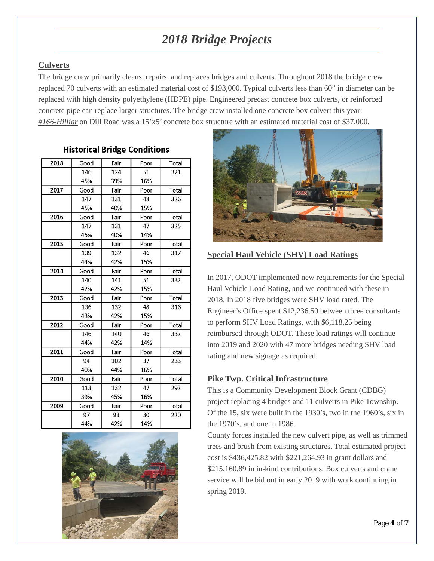# *2018 Bridge Projects*

### **Culverts**

The bridge crew primarily cleans, repairs, and replaces bridges and culverts. Throughout 2018 the bridge crew replaced 70 culverts with an estimated material cost of \$193,000. Typical culverts less than 60" in diameter can be replaced with high density polyethylene (HDPE) pipe. Engineered precast concrete box culverts, or reinforced concrete pipe can replace larger structures. The bridge crew installed one concrete box culvert this year: *#166-Hilliar* on Dill Road was a 15'x5' concrete box structure with an estimated material cost of \$37,000.

### **Historical Bridge Conditions**

| 2018 | Good | Fair | Poor | Total |
|------|------|------|------|-------|
|      | 146  | 124  | 51   | 321   |
|      | 45%  | 39%  | 16%  |       |
| 2017 | Good | Fair | Poor | Total |
|      | 147  | 131  | 48   | 326   |
|      | 45%  | 40%  | 15%  |       |
| 2016 | Good | Fair | Poor | Total |
|      | 147  | 131  | 47   | 325   |
|      | 45%  | 40%  | 14%  |       |
| 2015 | Good | Fair | Poor | Total |
|      | 139  | 132  | 46   | 317   |
|      | 44%  | 42%  | 15%  |       |
| 2014 | Good | Fair | Poor | Total |
|      | 140  | 141  | 51   | 332   |
|      | 42%  | 42%  | 15%  |       |
| 2013 | Good | Fair | Poor | Total |
|      | 136  | 132  | 48   | 316   |
|      | 43%  | 42%  | 15%  |       |
| 2012 | Good | Fair | Poor | Total |
|      | 146  | 140  | 46   | 332   |
|      | 44%  | 42%  | 14%  |       |
| 2011 | Good | Fair | Poor | Total |
|      | 94   | 102  | 37   | 233   |
|      | 40%  | 44%  | 16%  |       |
| 2010 | Good | Fair | Poor | Total |
|      | 113  | 132  | 47   | 292   |
|      | 39%  | 45%  | 16%  |       |
| 2009 | Good | Fair | Poor | Total |
|      | 97   | 93   | 30   | 220   |
|      | 44%  | 42%  | 14%  |       |





### **Special Haul Vehicle (SHV) Load Ratings**

In 2017, ODOT implemented new requirements for the Special Haul Vehicle Load Rating, and we continued with these in 2018. In 2018 five bridges were SHV load rated. The Engineer's Office spent \$12,236.50 between three consultants to perform SHV Load Ratings, with \$6,118.25 being reimbursed through ODOT. These load ratings will continue into 2019 and 2020 with 47 more bridges needing SHV load rating and new signage as required.

### **Pike Twp. Critical Infrastructure**

This is a Community Development Block Grant (CDBG) project replacing 4 bridges and 11 culverts in Pike Township. Of the 15, six were built in the 1930's, two in the 1960's, six in the 1970's, and one in 1986.

County forces installed the new culvert pipe, as well as trimmed trees and brush from existing structures. Total estimated project cost is \$436,425.82 with \$221,264.93 in grant dollars and \$215,160.89 in in-kind contributions. Box culverts and crane service will be bid out in early 2019 with work continuing in spring 2019.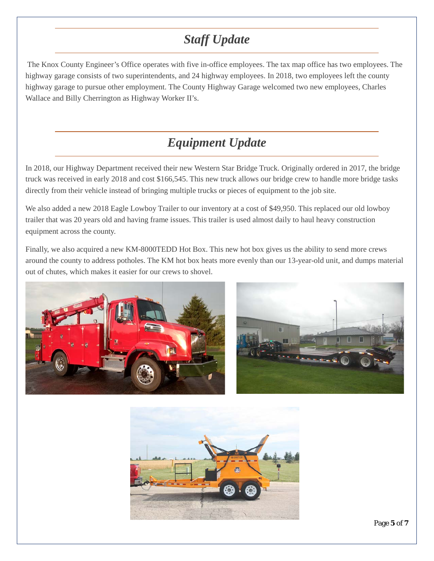# *Staff Update*

The Knox County Engineer's Office operates with five in-office employees. The tax map office has two employees. The highway garage consists of two superintendents, and 24 highway employees. In 2018, two employees left the county highway garage to pursue other employment. The County Highway Garage welcomed two new employees, Charles Wallace and Billy Cherrington as Highway Worker II's.

## *Equipment Update*

In 2018, our Highway Department received their new Western Star Bridge Truck. Originally ordered in 2017, the bridge truck was received in early 2018 and cost \$166,545. This new truck allows our bridge crew to handle more bridge tasks directly from their vehicle instead of bringing multiple trucks or pieces of equipment to the job site.

We also added a new 2018 Eagle Lowboy Trailer to our inventory at a cost of \$49,950. This replaced our old lowboy trailer that was 20 years old and having frame issues. This trailer is used almost daily to haul heavy construction equipment across the county.

Finally, we also acquired a new KM-8000TEDD Hot Box. This new hot box gives us the ability to send more crews around the county to address potholes. The KM hot box heats more evenly than our 13-year-old unit, and dumps material out of chutes, which makes it easier for our crews to shovel.





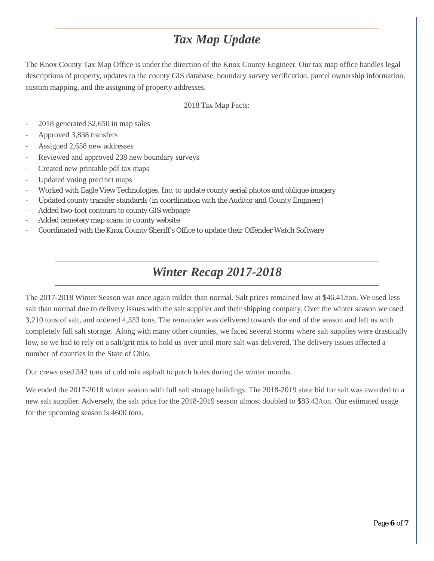# *Tax Map Update*

The Knox County Tax Map Office is under the direction of the Knox County Engineer. Our tax map office handles legal descriptions of property, updates to the county GIS database, boundary survey verification, parcel ownership information, custom mapping, and the assigning of property addresses.

#### 2018 Tax Map Facts:

- 2018 generated \$2,650 in map sales
- Approved 3,838 transfers
- Assigned 2,658 new addresses
- Reviewed and approved 238 new boundary surveys
- Created new printable pdf tax maps
- Updated voting precinct maps
- Worked with Eagle View Technologies, Inc. to update county aerial photos and oblique imagery
- Updated county transfer standards (in coordination with the Auditor and County Engineer)
- Added two-foot contours to county GIS webpage
- Added cemetery map scans to county website
- Coordinated with the Knox County Sheriff's Office to update their Offender Watch Software

### *Winter Recap 2017-2018*

The 2017-2018 Winter Season was once again milder than normal. Salt prices remained low at \$46.41/ton. We used less salt than normal due to delivery issues with the salt supplier and their shipping company. Over the winter season we used 3,210 tons of salt, and ordered 4,333 tons. The remainder was delivered towards the end of the season and left us with completely full salt storage. Along with many other counties, we faced several storms where salt supplies were drastically low, so we had to rely on a salt/grit mix to hold us over until more salt was delivered. The delivery issues affected a number of counties in the State of Ohio.

Our crews used 342 tons of cold mix asphalt to patch holes during the winter months.

We ended the 2017-2018 winter season with full salt storage buildings. The 2018-2019 state bid for salt was awarded to a new salt supplier. Adversely, the salt price for the 2018-2019 season almost doubled to \$83.42/ton. Our estimated usage for the upcoming season is 4600 tons.